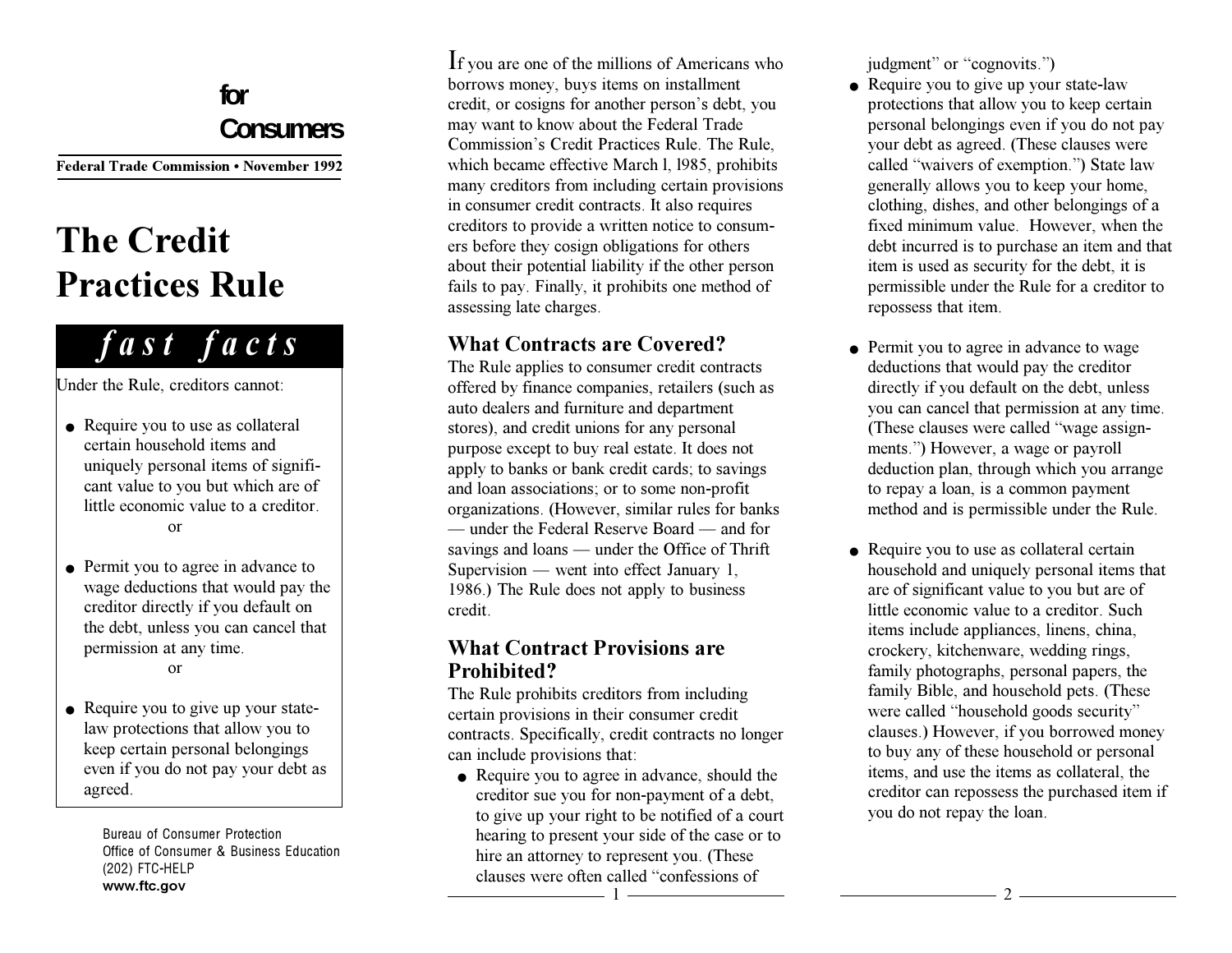### **for Consumers**

**Federal Trade Commission November 1992**

# **The Credit Practices Rule**

## *f a s t f a c t s*

Under the Rule, creditors cannot:

- Require you to use as collateral certain household items and uniquely personal items of significant value to you but which are of little economic value to a creditor. or
- Permit you to agree in advance to wage deductions that would pay the creditor directly if you default on the debt, unless you can cancel that permission at any time. or
- Require you to give up your statelaw protections that allow you to keep certain personal belongings even if you do not pay your debt as agreed.

Bureau of Consumer Protection Office of Consumer & Business Education (202) FTC-HELP **www.ftc.gov**

If you are one of the millions of Americans who borrows money, buys items on installment credit, or cosigns for another person's debt, you may want to know about the Federal Trade Commission's Credit Practices Rule. The Rule, which became effective March l, l985, prohibits many creditors from including certain provisions in consumer credit contracts. It also requires creditors to provide a written notice to consumers before they cosign obligations for others about their potential liability if the other person fails to pay. Finally, it prohibits one method of assessing late charges.

#### **What Contracts are Covered?**

The Rule applies to consumer credit contracts offered by finance companies, retailers (such as auto dealers and furniture and department stores), and credit unions for any personal purpose except to buy real estate. It does not apply to banks or bank credit cards; to savings and loan associations; or to some non-profit organizations. (However, similar rules for banks — under the Federal Reserve Board — and for savings and loans  $-$  under the Office of Thrift Supervision — went into effect January 1, 1986.) The Rule does not apply to business credit.

#### **What Contract Provisions are Prohibited?**

The Rule prohibits creditors from including certain provisions in their consumer credit contracts. Specifically, credit contracts no longer can include provisions that:

• Require you to agree in advance, should the creditor sue you for non-payment of a debt, to give up your right to be notified of a court hearing to present your side of the case or to hire an attorney to represent you. (These clauses were often called "confessions of

judgment" or "cognovits.")

- Require you to give up your state-law protections that allow you to keep certain personal belongings even if you do not pay your debt as agreed. (These clauses were called "waivers of exemption.") State law generally allows you to keep your home, clothing, dishes, and other belongings of a fixed minimum value. However, when the debt incurred is to purchase an item and that item is used as security for the debt, it is permissible under the Rule for a creditor to repossess that item.
- Permit you to agree in advance to wage deductions that would pay the creditor directly if you default on the debt, unless you can cancel that permission at any time. (These clauses were called "wage assignments.") However, a wage or payroll deduction plan, through which you arrange to repay a loan, is a common payment method and is permissible under the Rule.
- Require you to use as collateral certain household and uniquely personal items that are of significant value to you but are of little economic value to a creditor. Such items include appliances, linens, china, crockery, kitchenware, wedding rings, family photographs, personal papers, the family Bible, and household pets. (These were called "household goods security" clauses.) However, if you borrowed money to buy any of these household or personal items, and use the items as collateral, the creditor can repossess the purchased item if you do not repay the loan.